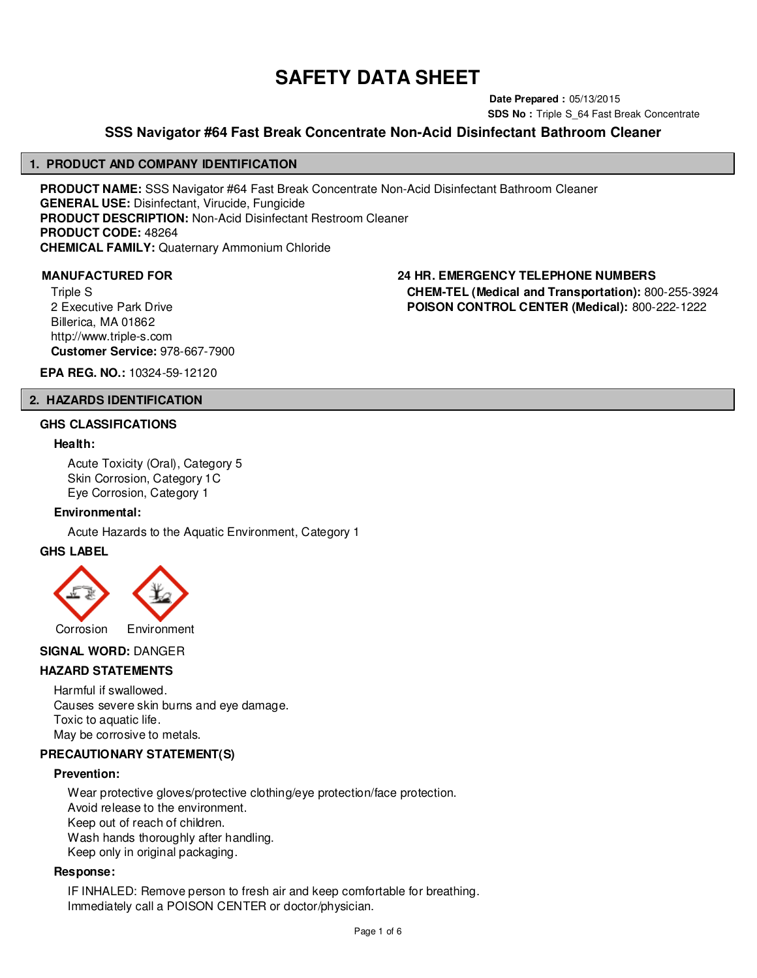# **SAFETY DATA SHEET**

**Date Prepared :** 05/13/2015 **SDS No : Triple S 64 Fast Break Concentrate** 

# **SSS Navigator #64 Fast Break Concentrate Non-Acid Disinfectant Bathroom Cleaner**

#### **1. PRODUCT AND COMPANY IDENTIFICATION**

**PRODUCT NAME:** SSS Navigator #64 Fast Break Concentrate Non-Acid Disinfectant Bathroom Cleaner **GENERAL USE:** Disinfectant, Virucide, Fungicide **PRODUCT DESCRIPTION:** Non-Acid Disinfectant Restroom Cleaner **PRODUCT CODE:** 48264 **CHEMICAL FAMILY:** Quaternary Ammonium Chloride

Triple S 2 Executive Park Drive Billerica, MA 01862 http://www.triple-s.com **Customer Service:** 978-667-7900

**MANUFACTURED FOR 24 HR. EMERGENCY TELEPHONE NUMBERS CHEM-TEL (Medical and Transportation):** 800-255-3924 **POISON CONTROL CENTER (Medical):** 800-222-1222

**EPA REG. NO.:** 10324-59-12120

#### **2. HAZARDS IDENTIFICATION**

#### **GHS CLASSIFICATIONS**

#### **Health:**

Acute Toxicity (Oral), Category 5 Skin Corrosion, Category 1C Eye Corrosion, Category 1

#### **Environmental:**

Acute Hazards to the Aquatic Environment, Category 1

#### **GHS LABEL**



# **SIGNAL WORD:** DANGER

#### **HAZARD STATEMENTS**

Harmful if swallowed. Causes severe skin burns and eye damage. Toxic to aquatic life. May be corrosive to metals.

#### **PRECAUTIONARY STATEMENT(S)**

#### **Prevention:**

Wear protective gloves/protective clothing/eye protection/face protection. Avoid release to the environment. Keep out of reach of children. Wash hands thoroughly after handling. Keep only in original packaging.

#### **Response:**

IF INHALED: Remove person to fresh air and keep comfortable for breathing. Immediately call a POISON CENTER or doctor/physician.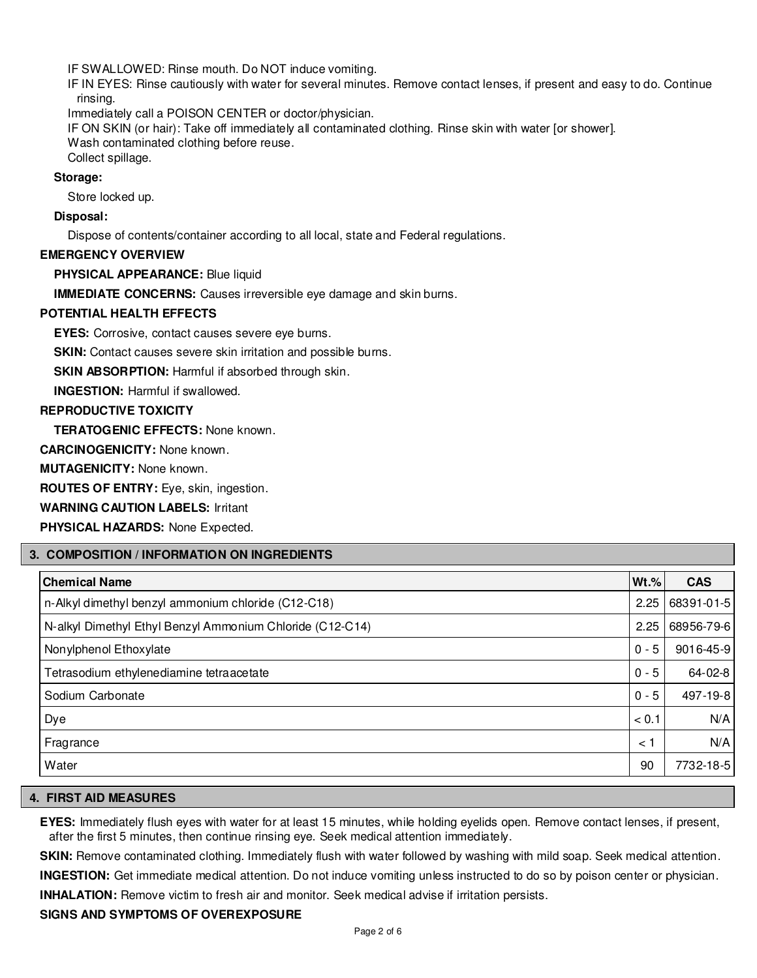IF SWALLOWED: Rinse mouth. Do NOT induce vomiting.

IF IN EYES: Rinse cautiously with water for several minutes. Remove contact lenses, if present and easy to do. Continue rinsing.

Immediately call a POISON CENTER or doctor/physician.

IF ON SKIN (or hair): Take off immediately all contaminated clothing. Rinse skin with water [or shower]. Wash contaminated clothing before reuse.

Collect spillage.

# **Storage:**

Store locked up.

# **Disposal:**

Dispose of contents/container according to all local, state and Federal regulations.

#### **EMERGENCY OVERVIEW**

**PHYSICAL APPEARANCE:** Blue liquid

**IMMEDIATE CONCERNS:** Causes irreversible eye damage and skin burns.

# **POTENTIAL HEALTH EFFECTS**

**EYES:** Corrosive, contact causes severe eye burns.

**SKIN:** Contact causes severe skin irritation and possible burns.

**SKIN ABSORPTION:** Harmful if absorbed through skin.

**INGESTION:** Harmful if swallowed.

# **REPRODUCTIVE TOXICITY**

**TERATOGENIC EFFECTS:** None known.

**CARCINOGENICITY:** None known.

**MUTAGENICITY:** None known.

**ROUTES OF ENTRY:** Eye, skin, ingestion.

**WARNING CAUTION LABELS:** Irritant

**PHYSICAL HAZARDS:** None Expected.

# **3. COMPOSITION / INFORMATION ON INGREDIENTS**

| <b>Chemical Name</b>                                      | $Wt.\%$ | <b>CAS</b>    |
|-----------------------------------------------------------|---------|---------------|
| n-Alkyl dimethyl benzyl ammonium chloride (C12-C18)       | 2.25    | 68391-01-5    |
| N-alkyl Dimethyl Ethyl Benzyl Ammonium Chloride (C12-C14) | 2.25    | 68956-79-6    |
| Nonylphenol Ethoxylate                                    | $0 - 5$ | 9016-45-9     |
| Tetrasodium ethylenediamine tetraacetate                  | $0 - 5$ | $64 - 02 - 8$ |
| Sodium Carbonate                                          | $0 - 5$ | 497-19-8      |
| Dye                                                       | < 0.1   | N/A           |
| Fragrance                                                 | < 1     | N/A           |
| Water                                                     | 90      | 7732-18-5     |

# **4. FIRST AID MEASURES**

**EYES:** Immediately flush eyes with water for at least 15 minutes, while holding eyelids open. Remove contact lenses, if present, after the first 5 minutes, then continue rinsing eye. Seek medical attention immediately.

**SKIN:** Remove contaminated clothing. Immediately flush with water followed by washing with mild soap. Seek medical attention.

**INGESTION:** Get immediate medical attention. Do not induce vomiting unless instructed to do so by poison center or physician.

**INHALATION:** Remove victim to fresh air and monitor. Seek medical advise if irritation persists.

# **SIGNS AND SYMPTOMS OF OVEREXPOSURE**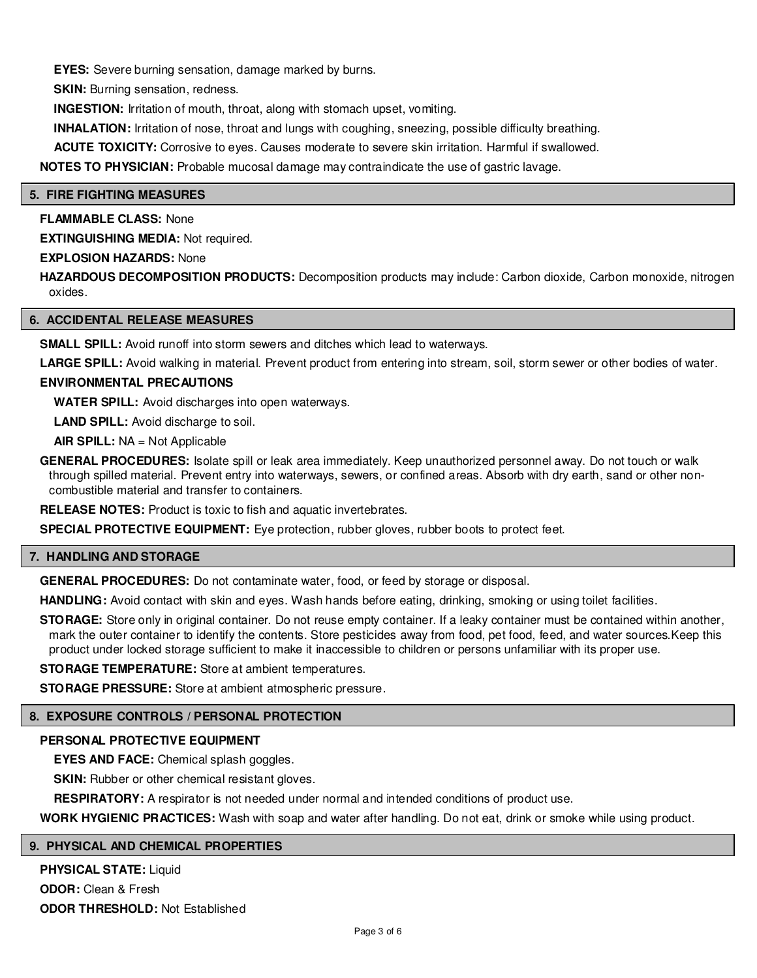**EYES:** Severe burning sensation, damage marked by burns.

**SKIN:** Burning sensation, redness.

**INGESTION:** Irritation of mouth, throat, along with stomach upset, vomiting.

**INHALATION:** Irritation of nose, throat and lungs with coughing, sneezing, possible difficulty breathing.

**ACUTE TOXICITY:** Corrosive to eyes. Causes moderate to severe skin irritation. Harmful if swallowed.

**NOTES TO PHYSICIAN:** Probable mucosal damage may contraindicate the use of gastric lavage.

#### **5. FIRE FIGHTING MEASURES**

**FLAMMABLE CLASS:** None

**EXTINGUISHING MEDIA:** Not required.

**EXPLOSION HAZARDS:** None

HAZARDOUS DECOMPOSITION PRODUCTS: Decomposition products may include: Carbon dioxide, Carbon monoxide, nitrogen oxides.

# **6. ACCIDENTAL RELEASE MEASURES**

**SMALL SPILL:** Avoid runoff into storm sewers and ditches which lead to waterways.

**LARGE SPILL:** Avoid walking in material. Prevent product from entering into stream, soil, storm sewer or other bodies of water.

# **ENVIRONMENTAL PRECAUTIONS**

**WATER SPILL:** Avoid discharges into open waterways.

**LAND SPILL:** Avoid discharge to soil.

**AIR SPILL:** NA = Not Applicable

**GENERAL PROCEDURES:** Isolate spill or leak area immediately. Keep unauthorized personnel away. Do not touch or walk through spilled material. Prevent entry into waterways, sewers, or confined areas. Absorb with dry earth, sand or other noncombustible material and transfer to containers.

**RELEASE NOTES:** Product is toxic to fish and aquatic invertebrates.

**SPECIAL PROTECTIVE EQUIPMENT:** Eye protection, rubber gloves, rubber boots to protect feet.

# **7. HANDLING AND STORAGE**

**GENERAL PROCEDURES:** Do not contaminate water, food, or feed by storage or disposal.

**HANDLING:** Avoid contact with skin and eyes. Wash hands before eating, drinking, smoking or using toilet facilities.

**STORAGE:** Store only in original container. Do not reuse empty container. If a leaky container must be contained within another, mark the outer container to identify the contents. Store pesticides away from food, pet food, feed, and water sources.Keep this product under locked storage sufficient to make it inaccessible to children or persons unfamiliar with its proper use.

**STORAGE TEMPERATURE:** Store at ambient temperatures.

**STORAGE PRESSURE:** Store at ambient atmospheric pressure.

# **8. EXPOSURE CONTROLS / PERSONAL PROTECTION**

# **PERSONAL PROTECTIVE EQUIPMENT**

**EYES AND FACE:** Chemical splash goggles.

**SKIN:** Rubber or other chemical resistant gloves.

**RESPIRATORY:** A respirator is not needed under normal and intended conditions of product use.

**WORK HYGIENIC PRACTICES:** Wash with soap and water after handling. Do not eat, drink or smoke while using product.

#### **9. PHYSICAL AND CHEMICAL PROPERTIES**

**PHYSICAL STATE:** Liquid **ODOR:** Clean & Fresh **ODOR THRESHOLD:** Not Established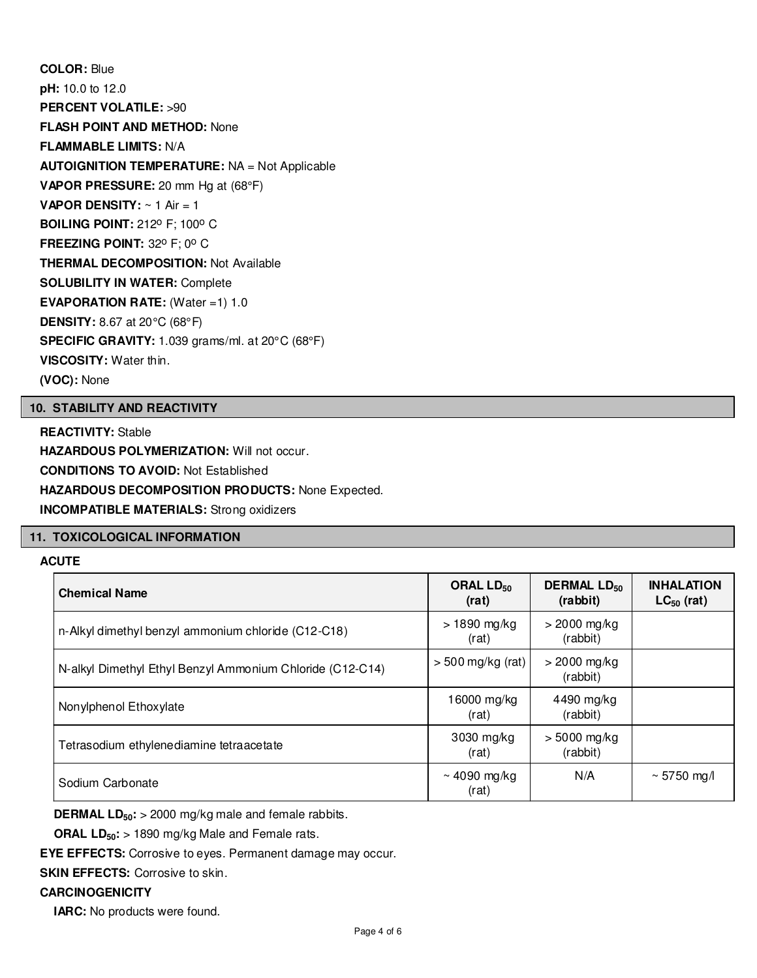**COLOR:** Blue **pH:** 10.0 to 12.0 **PERCENT VOLATILE:** >90 **FLASH POINT AND METHOD:** None **FLAMMABLE LIMITS:** N/A **AUTOIGNITION TEMPERATURE:** NA = Not Applicable **VAPOR PRESSURE:** 20 mm Hg at (68°F) **VAPOR DENSITY:** ~ 1 Air = 1 **BOILING POINT: 212° F; 100° C FREEZING POINT: 32° F; 0° C THERMAL DECOMPOSITION:** Not Available **SOLUBILITY IN WATER:** Complete **EVAPORATION RATE:** (Water =1) 1.0 **DENSITY:** 8.67 at 20°C (68°F) **SPECIFIC GRAVITY:** 1.039 grams/ml. at 20°C (68°F) **VISCOSITY:** Water thin. **(VOC):** None

# **10. STABILITY AND REACTIVITY**

**REACTIVITY:** Stable **HAZARDOUS POLYMERIZATION: Will not occur. CONDITIONS TO AVOID:** Not Established **HAZARDOUS DECOMPOSITION PRODUCTS:** None Expected. **INCOMPATIBLE MATERIALS:** Strong oxidizers

# **11. TOXICOLOGICAL INFORMATION**

# **ACUTE**

| <b>Chemical Name</b>                                      | ORAL LD <sub>50</sub><br>(rat) | <b>DERMAL LD<sub>50</sub></b><br>(rabbit) | <b>INHALATION</b><br>$LC_{50}$ (rat) |
|-----------------------------------------------------------|--------------------------------|-------------------------------------------|--------------------------------------|
| n-Alkyl dimethyl benzyl ammonium chloride (C12-C18)       | > 1890 mg/kg<br>(rat)          | $>$ 2000 mg/kg<br>(rabbit)                |                                      |
| N-alkyl Dimethyl Ethyl Benzyl Ammonium Chloride (C12-C14) | $>$ 500 mg/kg (rat)            | $>$ 2000 mg/kg<br>(rabbit)                |                                      |
| Nonylphenol Ethoxylate                                    | 16000 mg/kg<br>(rat)           | 4490 mg/kg<br>(rabbit)                    |                                      |
| Tetrasodium ethylenediamine tetraacetate                  | 3030 mg/kg<br>(rat)            | $> 5000$ mg/kg<br>(rabbit)                |                                      |
| Sodium Carbonate                                          | ~4090 mg/kg<br>(rat)           | N/A                                       | ~5750 mg/l                           |

**DERMAL LD50:** > 2000 mg/kg male and female rabbits.

**ORAL LD50:** > 1890 mg/kg Male and Female rats.

**EYE EFFECTS:** Corrosive to eyes. Permanent damage may occur.

**SKIN EFFECTS: Corrosive to skin.** 

# **CARCINOGENICITY**

**IARC:** No products were found.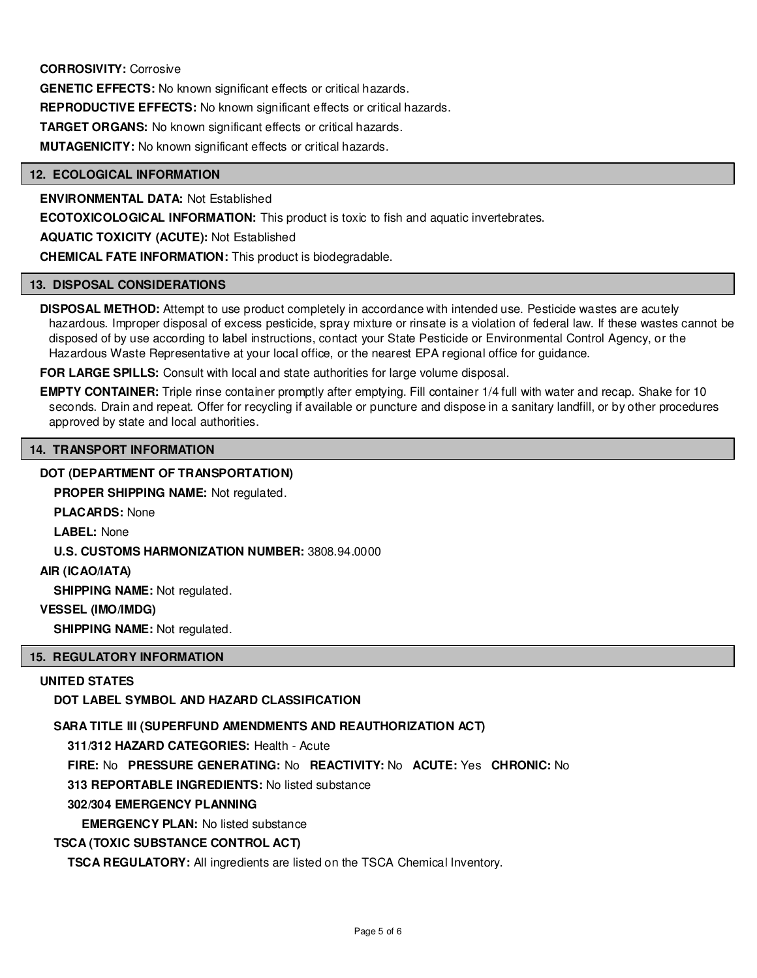# **CORROSIVITY:** Corrosive

**GENETIC EFFECTS:** No known significant effects or critical hazards.

**REPRODUCTIVE EFFECTS:** No known significant effects or critical hazards.

**TARGET ORGANS:** No known significant effects or critical hazards.

**MUTAGENICITY:** No known significant effects or critical hazards.

#### **12. ECOLOGICAL INFORMATION**

**ENVIRONMENTAL DATA:** Not Established

**ECOTOXICOLOGICAL INFORMATION:** This product is toxic to fish and aquatic invertebrates.

**AQUATIC TOXICITY (ACUTE):** Not Established

**CHEMICAL FATE INFORMATION:** This product is biodegradable.

#### **13. DISPOSAL CONSIDERATIONS**

**DISPOSAL METHOD:** Attempt to use product completely in accordance with intended use. Pesticide wastes are acutely hazardous. Improper disposal of excess pesticide, spray mixture or rinsate is a violation of federal law. If these wastes cannot be disposed of by use according to label instructions, contact your State Pesticide or Environmental Control Agency, or the Hazardous Waste Representative at your local office, or the nearest EPA regional office for guidance.

**FOR LARGE SPILLS:** Consult with local and state authorities for large volume disposal.

**EMPTY CONTAINER:** Triple rinse container promptly after emptying. Fill container 1/4 full with water and recap. Shake for 10 seconds. Drain and repeat. Offer for recycling if available or puncture and dispose in a sanitary landfill, or by other procedures approved by state and local authorities.

# **14. TRANSPORT INFORMATION**

#### **DOT (DEPARTMENT OF TRANSPORTATION)**

**PROPER SHIPPING NAME:** Not regulated.

**PLACARDS:** None

**LABEL:** None

**U.S. CUSTOMS HARMONIZATION NUMBER:** 3808.94.0000

# **AIR (ICAO/IATA)**

**SHIPPING NAME:** Not regulated.

### **VESSEL (IMO/IMDG)**

**SHIPPING NAME:** Not regulated.

#### **15. REGULATORY INFORMATION**

#### **UNITED STATES**

**DOT LABEL SYMBOL AND HAZARD CLASSIFICATION**

#### **SARA TITLE III (SUPERFUND AMENDMENTS AND REAUTHORIZATION ACT)**

**311/312 HAZARD CATEGORIES:** Health - Acute

**FIRE:** No **PRESSURE GENERATING:** No **REACTIVITY:** No **ACUTE:** Yes **CHRONIC:** No

**313 REPORTABLE INGREDIENTS:** No listed substance

# **302/304 EMERGENCY PLANNING**

**EMERGENCY PLAN:** No listed substance

#### **TSCA (TOXIC SUBSTANCE CONTROL ACT)**

**TSCA REGULATORY:** All ingredients are listed on the TSCA Chemical Inventory.